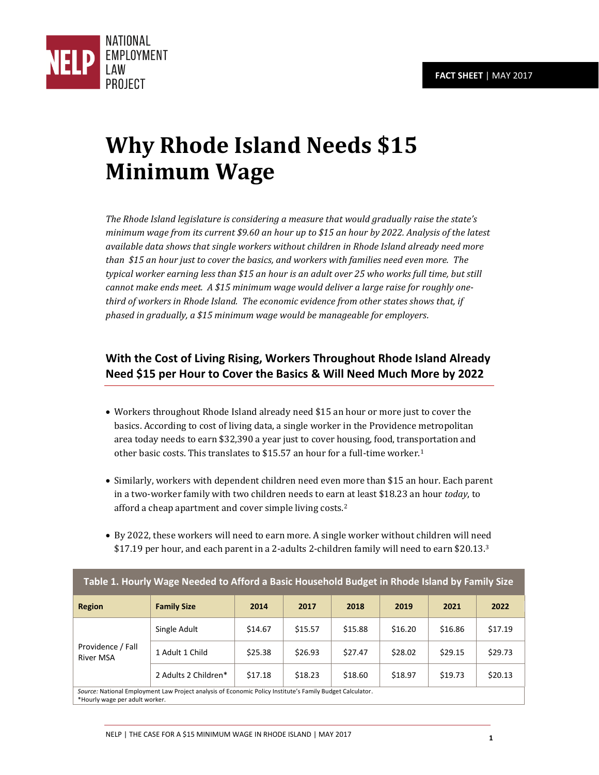

# **Why Rhode Island Needs \$15 Minimum Wage**

*The Rhode Island legislature is considering a measure that would gradually raise the state's minimum wage from its current \$9.60 an hour up to \$15 an hour by 2022. Analysis of the latest available data shows that single workers without children in Rhode Island already need more than \$15 an hour just to cover the basics, and workers with families need even more. The typical worker earning less than \$15 an hour is an adult over 25 who works full time, but still cannot make ends meet. A \$15 minimum wage would deliver a large raise for roughly onethird of workers in Rhode Island. The economic evidence from other states shows that, if phased in gradually, a \$15 minimum wage would be manageable for employers.* 

# **With the Cost of Living Rising, Workers Throughout Rhode Island Already Need \$15 per Hour to Cover the Basics & Will Need Much More by 2022**

- Workers throughout Rhode Island already need \$15 an hour or more just to cover the basics. According to cost of living data, a single worker in the Providence metropolitan area today needs to earn \$32,390 a year just to cover housing, food, transportation and other basic costs. This translates to \$15.57 an hour for a full-time worker.<sup>1</sup>
- Similarly, workers with dependent children need even more than \$15 an hour. Each parent in a two-worker family with two children needs to earn at least \$18.23 an hour *today*, to afford a cheap apartment and cover simple living costs.<sup>2</sup>
- By 2022, these workers will need to earn more. A single worker without children will need \$17.19 per hour, and each parent in a 2-adults 2-children family will need to earn \$20.13.<sup>3</sup>

**Table 1. Hourly Wage Needed to Afford a Basic Household Budget in Rhode Island by Family Size** 

| Table 1. Hourly wage Necucu to Afford a Dasic Houseffold Dudget III MIOUC ISlafiu by Family Size                                            |                      |         |         |         |         |         |         |
|---------------------------------------------------------------------------------------------------------------------------------------------|----------------------|---------|---------|---------|---------|---------|---------|
| <b>Region</b>                                                                                                                               | <b>Family Size</b>   | 2014    | 2017    | 2018    | 2019    | 2021    | 2022    |
| Providence / Fall<br><b>River MSA</b>                                                                                                       | Single Adult         | \$14.67 | \$15.57 | \$15.88 | \$16.20 | \$16.86 | \$17.19 |
|                                                                                                                                             | 1 Adult 1 Child      | \$25.38 | \$26.93 | \$27.47 | \$28.02 | \$29.15 | \$29.73 |
|                                                                                                                                             | 2 Adults 2 Children* | \$17.18 | \$18.23 | \$18.60 | \$18.97 | \$19.73 | \$20.13 |
| Source: National Employment Law Project analysis of Economic Policy Institute's Family Budget Calculator.<br>*Hourly wage per adult worker. |                      |         |         |         |         |         |         |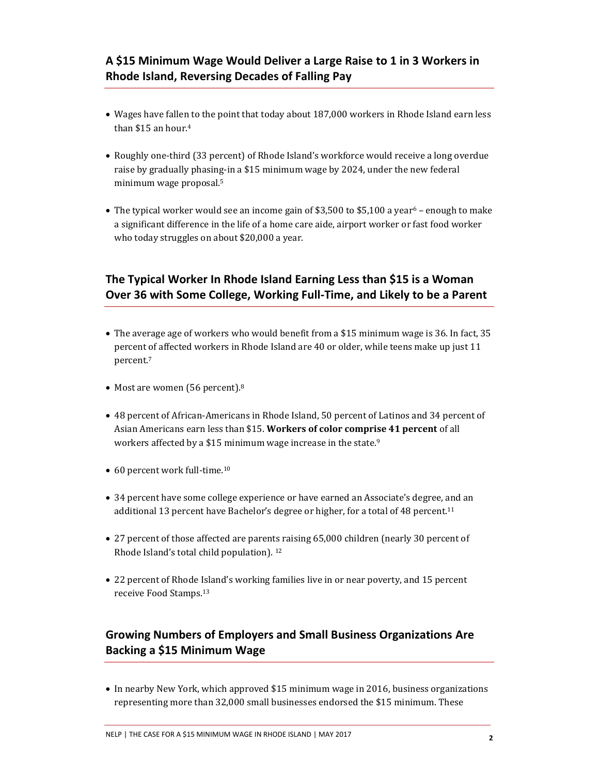- Wages have fallen to the point that today about 187,000 workers in Rhode Island earn less than \$15 an hour.<sup>4</sup>
- Roughly one-third (33 percent) of Rhode Island's workforce would receive a long overdue raise by gradually phasing-in a \$15 minimum wage by 2024, under the new federal minimum wage proposal.<sup>5</sup>
- The typical worker would see an income gain of \$3,500 to \$5,100 a year<sup>6</sup> enough to make a significant difference in the life of a home care aide, airport worker or fast food worker who today struggles on about \$20,000 a year.

# **The Typical Worker In Rhode Island Earning Less than \$15 is a Woman Over 36 with Some College, Working Full-Time, and Likely to be a Parent**

- The average age of workers who would benefit from a \$15 minimum wage is 36. In fact, 35 percent of affected workers in Rhode Island are 40 or older, while teens make up just 11 percent.<sup>7</sup>
- Most are women (56 percent).<sup>8</sup>
- 48 percent of African-Americans in Rhode Island, 50 percent of Latinos and 34 percent of Asian Americans earn less than \$15. **Workers of color comprise 41 percent** of all workers affected by a \$15 minimum wage increase in the state.<sup>9</sup>
- 60 percent work full-time.<sup>10</sup>
- 34 percent have some college experience or have earned an Associate's degree, and an additional 13 percent have Bachelor's degree or higher, for a total of 48 percent.<sup>11</sup>
- 27 percent of those affected are parents raising 65,000 children (nearly 30 percent of Rhode Island's total child population). 12
- 22 percent of Rhode Island's working families live in or near poverty, and 15 percent receive Food Stamps.<sup>13</sup>

# **Growing Numbers of Employers and Small Business Organizations Are Backing a \$15 Minimum Wage**

• In nearby New York, which approved \$15 minimum wage in 2016, business organizations representing more than 32,000 small businesses endorsed the \$15 minimum. These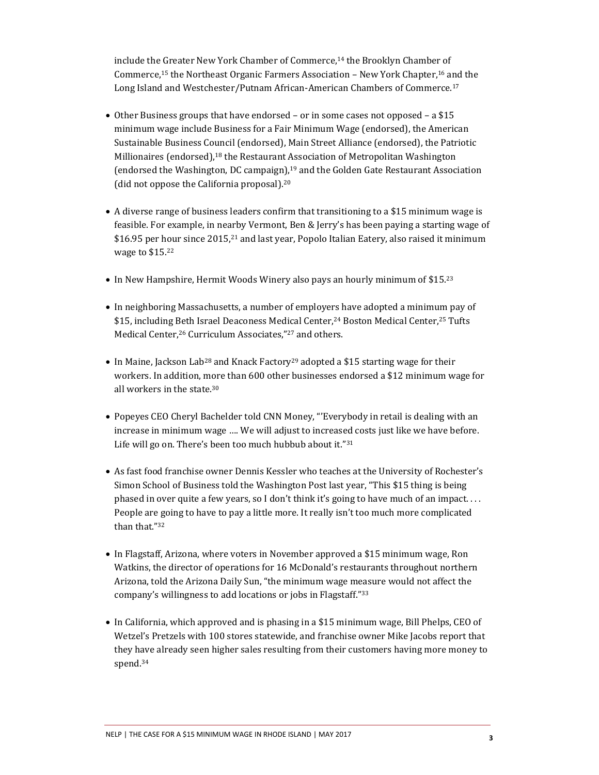include the Greater New York Chamber of Commerce,<sup>14</sup> the Brooklyn Chamber of Commerce,15 the Northeast Organic Farmers Association – New York Chapter,16 and the Long Island and Westchester/Putnam African-American Chambers of Commerce.<sup>17</sup>

- Other Business groups that have endorsed or in some cases not opposed a \$15 minimum wage include Business for a Fair Minimum Wage (endorsed), the American Sustainable Business Council (endorsed), Main Street Alliance (endorsed), the Patriotic Millionaires (endorsed),18 the Restaurant Association of Metropolitan Washington (endorsed the Washington, DC campaign),19 and the Golden Gate Restaurant Association (did not oppose the California proposal).<sup>20</sup>
- A diverse range of business leaders confirm that transitioning to a \$15 minimum wage is feasible. For example, in nearby Vermont, Ben & Jerry's has been paying a starting wage of \$16.95 per hour since 2015,<sup>21</sup> and last year, Popolo Italian Eatery, also raised it minimum wage to \$15.<sup>22</sup>
- In New Hampshire, Hermit Woods Winery also pays an hourly minimum of \$15.23
- In neighboring Massachusetts, a number of employers have adopted a minimum pay of \$15, including Beth Israel Deaconess Medical Center,24 Boston Medical Center,25 Tufts Medical Center,<sup>26</sup> Curriculum Associates,"<sup>27</sup> and others.
- In Maine, Jackson Lab<sup>28</sup> and Knack Factory<sup>29</sup> adopted a \$15 starting wage for their workers. In addition, more than 600 other businesses endorsed a \$12 minimum wage for all workers in the state.<sup>30</sup>
- Popeyes CEO Cheryl Bachelder told CNN Money, "'Everybody in retail is dealing with an increase in minimum wage …. We will adjust to increased costs just like we have before. Life will go on. There's been too much hubbub about it."<sup>31</sup>
- As fast food franchise owner Dennis Kessler who teaches at the University of Rochester's Simon School of Business told the Washington Post last year, "This \$15 thing is being phased in over quite a few years, so I don't think it's going to have much of an impact. . . . People are going to have to pay a little more. It really isn't too much more complicated than that."<sup>32</sup>
- In Flagstaff, Arizona, where voters in November approved a \$15 minimum wage, Ron Watkins, the director of operations for 16 McDonald's restaurants throughout northern Arizona, told the Arizona Daily Sun, "the minimum wage measure would not affect the company's willingness to add locations or jobs in Flagstaff."<sup>33</sup>
- In California, which approved and is phasing in a \$15 minimum wage, Bill Phelps, CEO of Wetzel's Pretzels with 100 stores statewide, and franchise owner Mike Jacobs report that they have already seen higher sales resulting from their customers having more money to spend.34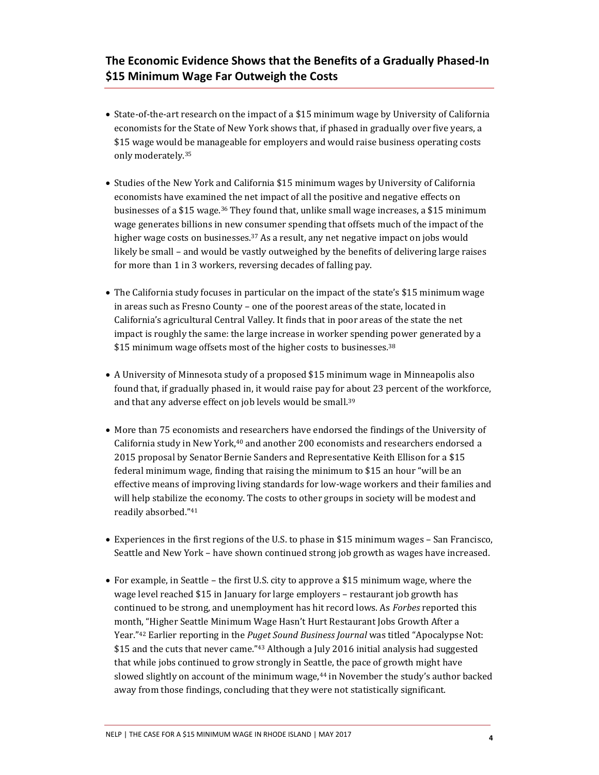### **The Economic Evidence Shows that the Benefits of a Gradually Phased-In \$15 Minimum Wage Far Outweigh the Costs**

- State-of-the-art research on the impact of a \$15 minimum wage by University of California economists for the State of New York shows that, if phased in gradually over five years, a \$15 wage would be manageable for employers and would raise business operating costs only moderately.<sup>35</sup>
- Studies of the New York and California \$15 minimum wages by University of California economists have examined the net impact of all the positive and negative effects on businesses of a \$15 wage.36 They found that, unlike small wage increases, a \$15 minimum wage generates billions in new consumer spending that offsets much of the impact of the higher wage costs on businesses.<sup>37</sup> As a result, any net negative impact on jobs would likely be small – and would be vastly outweighed by the benefits of delivering large raises for more than 1 in 3 workers, reversing decades of falling pay.
- The California study focuses in particular on the impact of the state's \$15 minimum wage in areas such as Fresno County – one of the poorest areas of the state, located in California's agricultural Central Valley. It finds that in poor areas of the state the net impact is roughly the same: the large increase in worker spending power generated by a \$15 minimum wage offsets most of the higher costs to businesses.<sup>38</sup>
- A University of Minnesota study of a proposed \$15 minimum wage in Minneapolis also found that, if gradually phased in, it would raise pay for about 23 percent of the workforce, and that any adverse effect on job levels would be small.<sup>39</sup>
- More than 75 economists and researchers have endorsed the findings of the University of California study in New York,40 and another 200 economists and researchers endorsed a 2015 proposal by Senator Bernie Sanders and Representative Keith Ellison for a \$15 federal minimum wage, finding that raising the minimum to \$15 an hour "will be an effective means of improving living standards for low-wage workers and their families and will help stabilize the economy. The costs to other groups in society will be modest and readily absorbed." 41
- Experiences in the first regions of the U.S. to phase in \$15 minimum wages San Francisco, Seattle and New York – have shown continued strong job growth as wages have increased.
- For example, in Seattle the first U.S. city to approve a \$15 minimum wage, where the wage level reached \$15 in January for large employers – restaurant job growth has continued to be strong, and unemployment has hit record lows. As *Forbes* reported this month, "Higher Seattle Minimum Wage Hasn't Hurt Restaurant Jobs Growth After a Year."<sup>42</sup> Earlier reporting in the *Puget Sound Business Journal* was titled "Apocalypse Not: \$15 and the cuts that never came."<sup>43</sup> Although a July 2016 initial analysis had suggested that while jobs continued to grow strongly in Seattle, the pace of growth might have slowed slightly on account of the minimum wage,44 in November the study's author backed away from those findings, concluding that they were not statistically significant.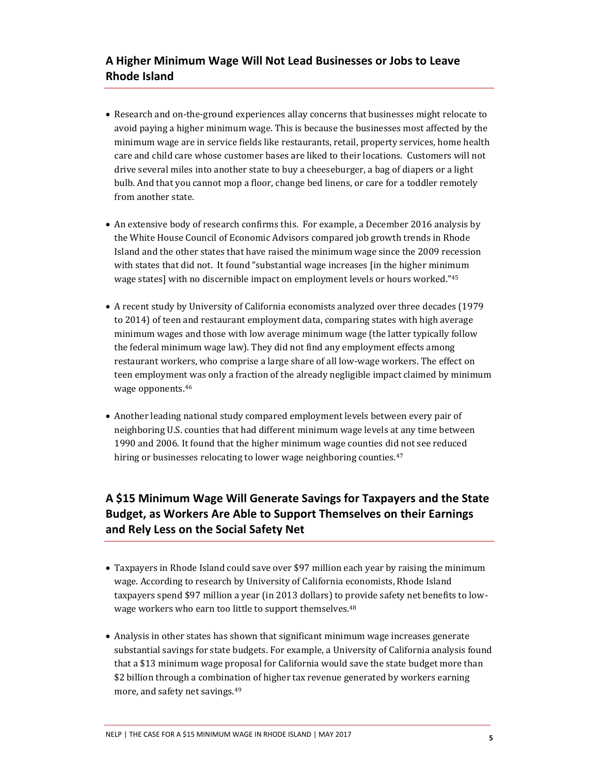# **A Higher Minimum Wage Will Not Lead Businesses or Jobs to Leave Rhode Island**

- Research and on-the-ground experiences allay concerns that businesses might relocate to avoid paying a higher minimum wage. This is because the businesses most affected by the minimum wage are in service fields like restaurants, retail, property services, home health care and child care whose customer bases are liked to their locations. Customers will not drive several miles into another state to buy a cheeseburger, a bag of diapers or a light bulb. And that you cannot mop a floor, change bed linens, or care for a toddler remotely from another state.
- An extensive body of research confirms this. For example, a December 2016 analysis by the White House Council of Economic Advisors compared job growth trends in Rhode Island and the other states that have raised the minimum wage since the 2009 recession with states that did not. It found "substantial wage increases [in the higher minimum wage states] with no discernible impact on employment levels or hours worked."<sup>45</sup>
- A recent study by University of California economists analyzed over three decades (1979 to 2014) of teen and restaurant employment data, comparing states with high average minimum wages and those with low average minimum wage (the latter typically follow the federal minimum wage law). They did not find any employment effects among restaurant workers, who comprise a large share of all low-wage workers. The effect on teen employment was only a fraction of the already negligible impact claimed by minimum wage opponents.<sup>46</sup>
- Another leading national study compared employment levels between every pair of neighboring U.S. counties that had different minimum wage levels at any time between 1990 and 2006. It found that the higher minimum wage counties did not see reduced hiring or businesses relocating to lower wage neighboring counties.<sup>47</sup>

# **A \$15 Minimum Wage Will Generate Savings for Taxpayers and the State Budget, as Workers Are Able to Support Themselves on their Earnings and Rely Less on the Social Safety Net**

- Taxpayers in Rhode Island could save over \$97 million each year by raising the minimum wage. According to research by University of California economists, Rhode Island taxpayers spend \$97 million a year (in 2013 dollars) to provide safety net benefits to lowwage workers who earn too little to support themselves.<sup>48</sup>
- Analysis in other states has shown that significant minimum wage increases generate substantial savings for state budgets. For example, a University of California analysis found that a \$13 minimum wage proposal for California would save the state budget more than \$2 billion through a combination of higher tax revenue generated by workers earning more, and safety net savings.49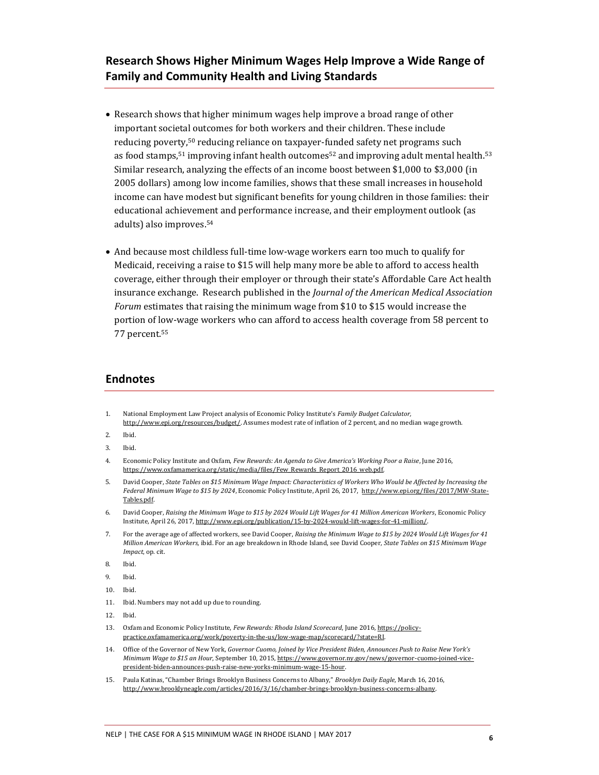#### **Research Shows Higher Minimum Wages Help Improve a Wide Range of Family and Community Health and Living Standards**

- Research shows that higher minimum wages help improve a broad range of other important societal outcomes for both workers and their children. These include reducing poverty,50 reducing reliance on taxpayer-funded safety net programs such as food stamps,<sup>51</sup> improving infant health outcomes<sup>52</sup> and improving adult mental health.<sup>53</sup> Similar research, analyzing the effects of an income boost between \$1,000 to \$3,000 (in 2005 dollars) among low income families, shows that these small increases in household income can have modest but significant benefits for young children in those families: their educational achievement and performance increase, and their employment outlook (as adults) also improves.<sup>54</sup>
- And because most childless full-time low-wage workers earn too much to qualify for Medicaid, receiving a raise to \$15 will help many more be able to afford to access health coverage, either through their employer or through their state's Affordable Care Act health insurance exchange. Research published in the *Journal of the American Medical Association Forum* estimates that raising the minimum wage from \$10 to \$15 would increase the portion of low-wage workers who can afford to access health coverage from 58 percent to 77 percent.<sup>55</sup>

#### **Endnotes**

- 1. National Employment Law Project analysis of Economic Policy Institute's *Family Budget Calculator,*  [http://www.epi.org/resources/budget/.](http://www.epi.org/resources/budget/) Assumes modest rate of inflation of 2 percent, and no median wage growth.
- 2. Ibid.
- 3. Ibid.
- 4. Economic Policy Institute and Oxfam, *Few Rewards: An Agenda to Give America's Working Poor a Raise*, June 2016, https://www.oxfamamerica.org/static/media/files/Few\_Rewards\_Report\_2016\_web.pdf.
- 5. David Cooper, *State Tables on \$15 Minimum Wage Impact: Characteristics of Workers Who Would be Affected by Increasing the Federal Minimum Wage to \$15 by 2024*, Economic Policy Institute, April 26, 2017, [http://www.epi.org/files/2017/MW-State-](http://www.epi.org/files/2017/MW-State-Tables.pdf)[Tables.pdf.](http://www.epi.org/files/2017/MW-State-Tables.pdf)
- 6. David Cooper, *Raising the Minimum Wage to \$15 by 2024 Would Lift Wages for 41 Million American Workers*, Economic Policy Institute, April 26, 2017[, http://www.epi.org/publication/15-by-2024-would-lift-wages-for-41-million/.](http://www.epi.org/publication/15-by-2024-would-lift-wages-for-41-million/)
- 7. For the average age of affected workers, see David Cooper, *Raising the Minimum Wage to \$15 by 2024 Would Lift Wages for 41 Million American Workers,* ibid. For an age breakdown in Rhode Island, see David Cooper, *State Tables on \$15 Minimum Wage Impact*, op. cit.
- 8. Ibid.
- 9. Ibid.
- 10. Ibid.
- 11. Ibid. Numbers may not add up due to rounding.
- 12. Ibid.
- 13. Oxfam and Economic Policy Institute, *Few Rewards: Rhoda Island Scorecard*, June 2016[, https://policy](https://policy-practice.oxfamamerica.org/work/poverty-in-the-us/low-wage-map/scorecard/?state=RI)[practice.oxfamamerica.org/work/poverty-in-the-us/low-wage-map/scorecard/?state=RI.](https://policy-practice.oxfamamerica.org/work/poverty-in-the-us/low-wage-map/scorecard/?state=RI)
- 14. Office of the Governor of New York, *Governor Cuomo, Joined by Vice President Biden, Announces Push to Raise New York's Minimum Wage to \$15 an Hour*, September 10, 2015[, https://www.governor.ny.gov/news/governor-cuomo-joined-vice](https://www.governor.ny.gov/news/governor-cuomo-joined-vice-president-biden-announces-push-raise-new-yorks-minimum-wage-15-hour)[president-biden-announces-push-raise-new-yorks-minimum-wage-15-hour.](https://www.governor.ny.gov/news/governor-cuomo-joined-vice-president-biden-announces-push-raise-new-yorks-minimum-wage-15-hour)
- 15. Paula Katinas, "Chamber Brings Brooklyn Business Concerns to Albany," *Brooklyn Daily Eagle*, March 16, 2016, [http://www.brooklyneagle.com/articles/2016/3/16/chamber-brings-brooklyn-business-concerns-albany.](http://www.brooklyneagle.com/articles/2016/3/16/chamber-brings-brooklyn-business-concerns-albany)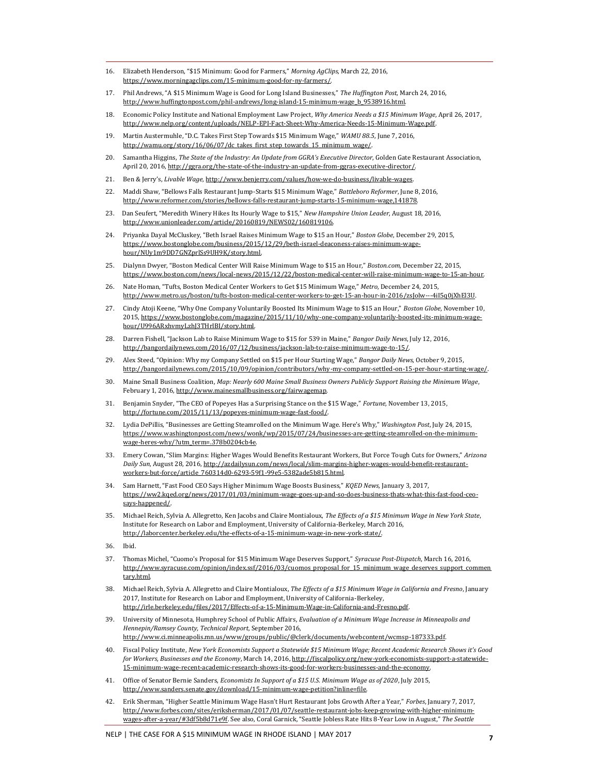- 16. Elizabeth Henderson, "\$15 Minimum: Good for Farmers," *Morning AgClips*, March 22, 2016, [https://www.morningagclips.com/15-minimum-good-for-ny-farmers/.](https://www.morningagclips.com/15-minimum-good-for-ny-farmers/)
- 17. Phil Andrews, "A \$15 Minimum Wage is Good for Long Island Businesses," *The Huffington Post*, March 24, 2016, [http://www.huffingtonpost.com/phil-andrews/long-island-15-minimum-wage\\_b\\_9538916.html.](http://www.huffingtonpost.com/phil-andrews/long-island-15-minimum-wage_b_9538916.html)
- 18. Economic Policy Institute and National Employment Law Project, *Why America Needs a \$15 Minimum Wage*, April 26, 2017, [http://www.nelp.org/content/uploads/NELP-EPI-Fact-Sheet-Why-America-Needs-15-Minimum-Wage.pdf.](http://www.nelp.org/content/uploads/NELP-EPI-Fact-Sheet-Why-America-Needs-15-Minimum-Wage.pdf)
- 19. Martin Austermuhle, "D.C. Takes First Step Towards \$15 Minimum Wage," *WAMU 88.5*, June 7, 2016, http://wamu.org/story/16/06/07/dc\_takes\_first\_step\_towards\_15\_minimum\_wage/.
- 20. Samantha Higgins, *The State of the Industry: An Update from GGRA's Executive Director*, Golden Gate Restaurant Association, April 20, 2016[, http://ggra.org/the-state-of-the-industry-an-update-from-ggras-executive-director/.](http://ggra.org/the-state-of-the-industry-an-update-from-ggras-executive-director/)
- 21. Ben & Jerry's, *Livable Wage*[, http://www.benjerry.com/values/how-we-do-business/livable-wages.](http://www.benjerry.com/values/how-we-do-business/livable-wages)
- 22. Maddi Shaw, "Bellows Falls Restaurant Jump-Starts \$15 Minimum Wage," *Battleboro Reformer*, June 8, 2016, [http://www.reformer.com/stories/bellows-falls-restaurant-jump-starts-15-minimum-wage,141878.](http://www.reformer.com/stories/bellows-falls-restaurant-jump-starts-15-minimum-wage,141878)
- 23. Dan Seufert, "Meredith Winery Hikes Its Hourly Wage to \$15," *New Hampshire Union Leader*, August 18, 2016, [http://www.unionleader.com/article/20160819/NEWS02/160819106.](http://www.unionleader.com/article/20160819/NEWS02/160819106)
- 24. Priyanka Dayal McCluskey, "Beth Israel Raises Minimum Wage to \$15 an Hour," *Boston Globe*, December 29, 2015, [https://www.bostonglobe.com/business/2015/12/29/beth-israel-deaconess-raises-minimum-wage](https://www.bostonglobe.com/business/2015/12/29/beth-israel-deaconess-raises-minimum-wage-hour/NUy1m9DD7GNZprlSs9UH9K/story.html)[hour/NUy1m9DD7GNZprlSs9UH9K/story.html.](https://www.bostonglobe.com/business/2015/12/29/beth-israel-deaconess-raises-minimum-wage-hour/NUy1m9DD7GNZprlSs9UH9K/story.html)
- 25. Dialynn Dwyer, "Boston Medical Center Will Raise Minimum Wage to \$15 an Hour," *Boston.com*, December 22, 2015, [https://www.boston.com/news/local-news/2015/12/22/boston-medical-center-will-raise-minimum-wage-to-15-an-hour.](https://www.boston.com/news/local-news/2015/12/22/boston-medical-center-will-raise-minimum-wage-to-15-an-hour)
- 26. Nate Homan, "Tufts, Boston Medical Center Workers to Get \$15 Minimum Wage," *Metro*, December 24, 2015, [http://www.metro.us/boston/tufts-boston-medical-center-workers-to-get-15-an-hour-in-2016/zsJolw---4iI5q0jXhEl3U.](http://www.metro.us/boston/tufts-boston-medical-center-workers-to-get-15-an-hour-in-2016/zsJolw---4iI5q0jXhEl3U)
- 27. Cindy Atoji Keene, "Why One Company Voluntarily Boosted Its Minimum Wage to \$15 an Hour," *Boston Globe*, November 10, 2015[, https://www.bostonglobe.com/magazine/2015/11/10/why-one-company-voluntarily-boosted-its-minimum-wage](https://www.bostonglobe.com/magazine/2015/11/10/why-one-company-voluntarily-boosted-its-minimum-wage-hour/U996ARxhvmyLzhJ3THrlBI/story.html)[hour/U996ARxhvmyLzhJ3THrlBI/story.html.](https://www.bostonglobe.com/magazine/2015/11/10/why-one-company-voluntarily-boosted-its-minimum-wage-hour/U996ARxhvmyLzhJ3THrlBI/story.html)
- 28. Darren Fishell, "Jackson Lab to Raise Minimum Wage to \$15 for 539 in Maine," *Bangor Daily News*, July 12, 2016, [http://bangordailynews.com/2016/07/12/business/jackson-lab-to-raise-minimum-wage-to-15/.](http://bangordailynews.com/2016/07/12/business/jackson-lab-to-raise-minimum-wage-to-15/)
- 29. Alex Steed, "Opinion: Why my Company Settled on \$15 per Hour Starting Wage," *Bangor Daily News*, October 9, 2015, [http://bangordailynews.com/2015/10/09/opinion/contributors/why-my-company-settled-on-15-per-hour-starting-wage/.](http://bangordailynews.com/2015/10/09/opinion/contributors/why-my-company-settled-on-15-per-hour-starting-wage/)
- 30. Maine Small Business Coalition, *Map: Nearly 600 Maine Small Business Owners Publicly Support Raising the Minimum Wage*, February 1, 2016[, http://www.mainesmallbusiness.org/fairwagemap.](http://www.mainesmallbusiness.org/fairwagemap)
- 31. Benjamin Snyder, "The CEO of Popeyes Has a Surprising Stance on the \$15 Wage," *Fortune*, November 13, 2015, [http://fortune.com/2015/11/13/popeyes-minimum-wage-fast-food/.](http://fortune.com/2015/11/13/popeyes-minimum-wage-fast-food/)
- 32. Lydia DePillis, "Businesses are Getting Steamrolled on the Minimum Wage. Here's Why," *Washington Post*, July 24, 2015, [https://www.washingtonpost.com/news/wonk/wp/2015/07/24/businesses-are-getting-steamrolled-on-the-minimum](https://www.washingtonpost.com/news/wonk/wp/2015/07/24/businesses-are-getting-steamrolled-on-the-minimum-wage-heres-why/?utm_term=.378b0204cb4e)[wage-heres-why/?utm\\_term=.378b0204cb4e.](https://www.washingtonpost.com/news/wonk/wp/2015/07/24/businesses-are-getting-steamrolled-on-the-minimum-wage-heres-why/?utm_term=.378b0204cb4e)
- 33. Emery Cowan, "Slim Margins: Higher Wages Would Benefits Restaurant Workers, But Force Tough Cuts for Owners," *Arizona Daily Sun*, August 28, 2016[, http://azdailysun.com/news/local/slim-margins-higher-wages-would-benefit-restaurant](http://azdailysun.com/news/local/slim-margins-higher-wages-would-benefit-restaurant-workers-but-force/article_760314d0-6293-59f1-99e5-5382ade5b815.html)[workers-but-force/article\\_760314d0-6293-59f1-99e5-5382ade5b815.html.](http://azdailysun.com/news/local/slim-margins-higher-wages-would-benefit-restaurant-workers-but-force/article_760314d0-6293-59f1-99e5-5382ade5b815.html)
- 34. Sam Harnett, "Fast Food CEO Says Higher Minimum Wage Boosts Business," *KQED News*, January 3, 2017, [https://ww2.kqed.org/news/2017/01/03/minimum-wage-goes-up-and-so-does-business-thats-what-this-fast-food-ceo](https://ww2.kqed.org/news/2017/01/03/minimum-wage-goes-up-and-so-does-business-thats-what-this-fast-food-ceo-says-happened/)[says-happened/.](https://ww2.kqed.org/news/2017/01/03/minimum-wage-goes-up-and-so-does-business-thats-what-this-fast-food-ceo-says-happened/)
- 35. Michael Reich, Sylvia A. Allegretto, Ken Jacobs and Claire Montialoux, *The Effects of a \$15 Minimum Wage in New York State*, Institute for Research on Labor and Employment, University of California-Berkeley, March 2016, [http://laborcenter.berkeley.edu/the-effects-of-a-15-minimum-wage-in-new-york-state/.](http://laborcenter.berkeley.edu/the-effects-of-a-15-minimum-wage-in-new-york-state/)
- 36. Ibid.

 $\overline{a}$ 

- 37. Thomas Michel, "Cuomo's Proposal for \$15 Minimum Wage Deserves Support," *Syracuse Post-Dispatch*, March 16, 2016, [http://www.syracuse.com/opinion/index.ssf/2016/03/cuomos\\_proposal\\_for\\_15\\_minimum\\_wage\\_deserves\\_support\\_commen](http://www.syracuse.com/opinion/index.ssf/2016/03/cuomos_proposal_for_15_minimum_wage_deserves_support_commentary.html)\_ [tary.html.](http://www.syracuse.com/opinion/index.ssf/2016/03/cuomos_proposal_for_15_minimum_wage_deserves_support_commentary.html)
- 38. Michael Reich, Sylvia A. Allegretto and Claire Montialoux, *The Effects of a \$15 Minimum Wage in California and Fresno*, January 2017, Institute for Research on Labor and Employment, University of California-Berkeley, [http://irle.berkeley.edu/files/2017/Effects-of-a-15-Minimum-Wage-in-California-and-Fresno.pdf.](http://irle.berkeley.edu/files/2017/Effects-of-a-15-Minimum-Wage-in-California-and-Fresno.pdf)
- 39. University of Minnesota, Humphrey School of Public Affairs, *Evaluation of a Minimum Wage Increase in Minneapolis and Hennepin/Ramsey County, Technical Report*, September 2016, [http://www.ci.minneapolis.mn.us/www/groups/public/@clerk/documents/webcontent/wcmsp-187333.pdf.](http://www.ci.minneapolis.mn.us/www/groups/public/@clerk/documents/webcontent/wcmsp-187333.pdf)
- 40. Fiscal Policy Institute, *New York Economists Support a Statewide \$15 Minimum Wage; Recent Academic Research Shows it's Good for Workers, Businesses and the Economy*, March 14, 2016[, http://fiscalpolicy.org/new-york-economists-support-a-statewide-](http://fiscalpolicy.org/new-york-economists-support-a-statewide-15-minimum-wage-recent-academic-research-shows-its-good-for-workers-businesses-and-the-economy)[15-minimum-wage-recent-academic-research-shows-its-good-for-workers-businesses-and-the-economy.](http://fiscalpolicy.org/new-york-economists-support-a-statewide-15-minimum-wage-recent-academic-research-shows-its-good-for-workers-businesses-and-the-economy)
- 41. Office of Senator Bernie Sanders, *Economists In Support of a \$15 U.S. Minimum Wage as of 2020*, July 2015, [http://www.sanders.senate.gov/download/15-minimum-wage-petition?inline=file.](http://www.sanders.senate.gov/download/15-minimum-wage-petition?inline=file)
- 42. Erik Sherman, "Higher Seattle Minimum Wage Hasn't Hurt Restaurant Jobs Growth After a Year," *Forbes*, January 7, 2017, [http://www.forbes.com/sites/eriksherman/2017/01/07/seattle-restaurant-jobs-keep-growing-with-higher-minimum](http://www.forbes.com/sites/eriksherman/2017/01/07/seattle-restaurant-jobs-keep-growing-with-higher-minimum-wages-after-a-year/#3df5b8d71e9f)[wages-after-a-year/#3df5b8d71e9f.](http://www.forbes.com/sites/eriksherman/2017/01/07/seattle-restaurant-jobs-keep-growing-with-higher-minimum-wages-after-a-year/#3df5b8d71e9f) See also, Coral Garnick, "Seattle Jobless Rate Hits 8-Year Low in August," *The Seattle*